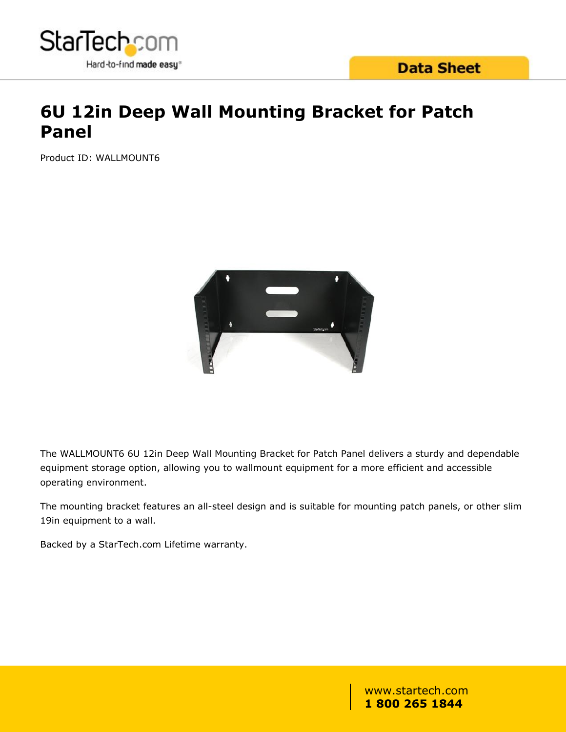

# **6U 12in Deep Wall Mounting Bracket for Patch Panel**

Product ID: WALLMOUNT6



The WALLMOUNT6 6U 12in Deep Wall Mounting Bracket for Patch Panel delivers a sturdy and dependable equipment storage option, allowing you to wallmount equipment for a more efficient and accessible operating environment.

The mounting bracket features an all-steel design and is suitable for mounting patch panels, or other slim 19in equipment to a wall.

Backed by a StarTech.com Lifetime warranty.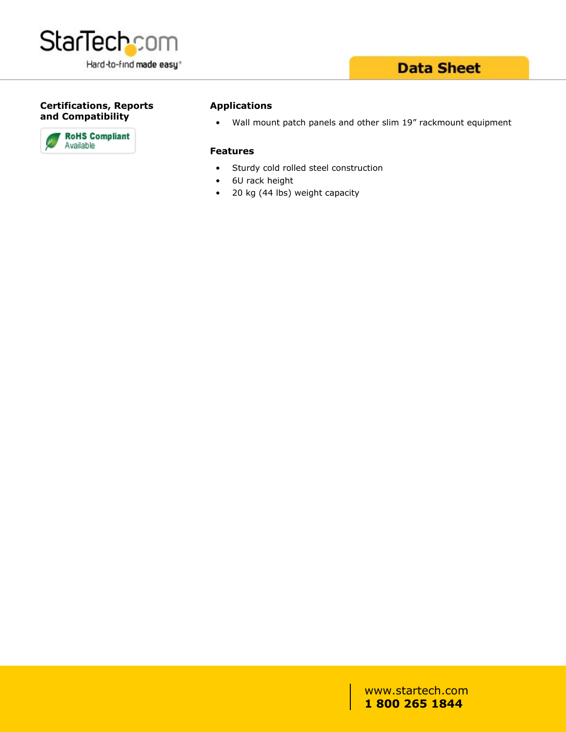

### **Data Sheet**

#### **Certifications, Reports and Compatibility**



#### **Applications**

• Wall mount patch panels and other slim 19" rackmount equipment

#### **Features**

- Sturdy cold rolled steel construction
- 6U rack height
- 20 kg (44 lbs) weight capacity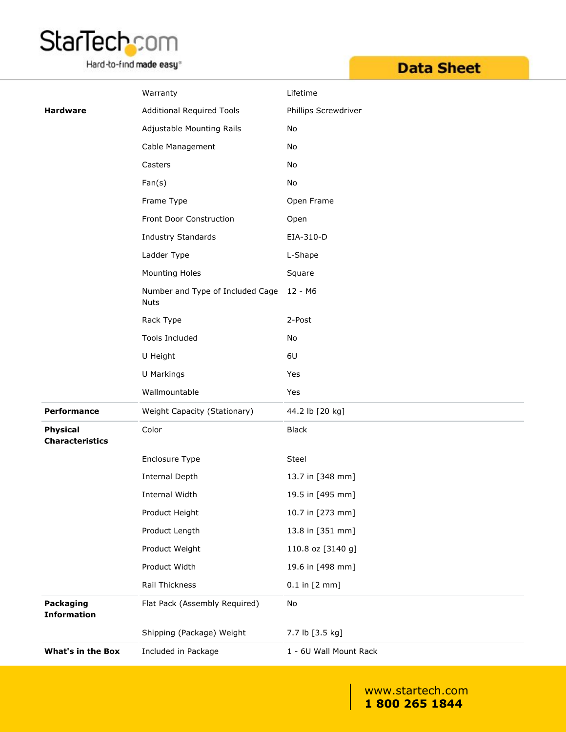

Hard-to-find made easy<sup>®</sup>

# **Data Sheet**

|                                           | Warranty                                        | Lifetime                  |
|-------------------------------------------|-------------------------------------------------|---------------------------|
| <b>Hardware</b>                           | <b>Additional Required Tools</b>                | Phillips Screwdriver      |
|                                           | Adjustable Mounting Rails                       | No                        |
|                                           | Cable Management                                | No                        |
|                                           | Casters                                         | No                        |
|                                           | Fan(s)                                          | No                        |
|                                           | Frame Type                                      | Open Frame                |
|                                           | Front Door Construction                         | Open                      |
|                                           | Industry Standards                              | EIA-310-D                 |
|                                           | Ladder Type                                     | L-Shape                   |
|                                           | Mounting Holes                                  | Square                    |
|                                           | Number and Type of Included Cage<br><b>Nuts</b> | 12 - M6                   |
|                                           | Rack Type                                       | 2-Post                    |
|                                           | Tools Included                                  | No                        |
|                                           | U Height                                        | 6U                        |
|                                           | U Markings                                      | Yes                       |
|                                           | Wallmountable                                   | Yes                       |
| <b>Performance</b>                        | Weight Capacity (Stationary)                    | 44.2 lb [20 kg]           |
| <b>Physical</b><br><b>Characteristics</b> | Color                                           | <b>Black</b>              |
|                                           | Enclosure Type                                  | <b>Steel</b>              |
|                                           | <b>Internal Depth</b>                           | 13.7 in [348 mm]          |
|                                           | Internal Width                                  | 19.5 in [495 mm]          |
|                                           | Product Height                                  | 10.7 in [273 mm]          |
|                                           | Product Length                                  | 13.8 in [351 mm]          |
|                                           | Product Weight                                  | 110.8 oz [3140 g]         |
|                                           | Product Width                                   | 19.6 in [498 mm]          |
|                                           | Rail Thickness                                  | $0.1$ in $[2 \text{ mm}]$ |
| Packaging<br><b>Information</b>           | Flat Pack (Assembly Required)                   | No                        |
|                                           | Shipping (Package) Weight                       | 7.7 lb [3.5 kg]           |
| <b>What's in the Box</b>                  | Included in Package                             | 1 - 6U Wall Mount Rack    |